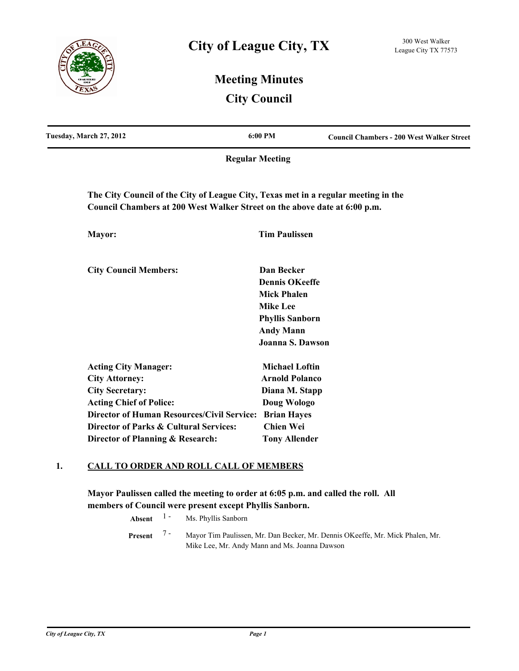

# **Meeting Minutes City Council**

| Tuesday, March 27, 2012      | 6:00 PM                                                                                                                                                         | <b>Council Chambers - 200 West Walker Street</b> |
|------------------------------|-----------------------------------------------------------------------------------------------------------------------------------------------------------------|--------------------------------------------------|
|                              | <b>Regular Meeting</b>                                                                                                                                          |                                                  |
|                              | The City Council of the City of League City, Texas met in a regular meeting in the<br>Council Chambers at 200 West Walker Street on the above date at 6:00 p.m. |                                                  |
| Mayor:                       | <b>Tim Paulissen</b>                                                                                                                                            |                                                  |
| <b>City Council Members:</b> | Dan Becker                                                                                                                                                      |                                                  |
|                              | <b>Dennis OKeeffe</b><br><b>Mick Phalen</b>                                                                                                                     |                                                  |
|                              | <b>Mike Lee</b>                                                                                                                                                 |                                                  |
|                              | <b>Phyllis Sanborn</b>                                                                                                                                          |                                                  |
|                              | <b>Andy Mann</b>                                                                                                                                                |                                                  |
|                              | Joanna S. Dawson                                                                                                                                                |                                                  |
| <b>Acting City Manager:</b>  | <b>Michael Loftin</b>                                                                                                                                           |                                                  |
| <b>City Attorney:</b>        | <b>Arnold Polanco</b>                                                                                                                                           |                                                  |
| <b>City Secretary:</b>       | Diana M. Stapp                                                                                                                                                  |                                                  |

| <b>City Secretary:</b>                                 | Diana M. Stapp       |
|--------------------------------------------------------|----------------------|
| <b>Acting Chief of Police:</b>                         | Doug Wologo          |
| Director of Human Resources/Civil Service: Brian Hayes |                      |
| Director of Parks & Cultural Services:                 | <b>Chien Wei</b>     |
| Director of Planning & Research:                       | <b>Tony Allender</b> |

## **1. CALL TO ORDER AND ROLL CALL OF MEMBERS**

**Mayor Paulissen called the meeting to order at 6:05 p.m. and called the roll. All members of Council were present except Phyllis Sanborn.**

|  | <b>Absent</b> $1 -$ Ms. Phyllis Sanborn                                                                   |
|--|-----------------------------------------------------------------------------------------------------------|
|  | <b>Present</b> <sup>7</sup> Mayor Tim Paulissen, Mr. Dan Becker, Mr. Dennis OKeeffe, Mr. Mick Phalen, Mr. |
|  | Mike Lee, Mr. Andy Mann and Ms. Joanna Dawson                                                             |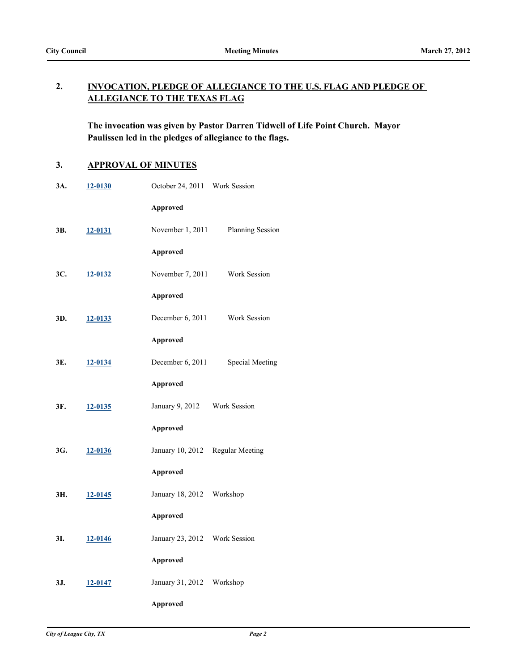#### **INVOCATION, PLEDGE OF ALLEGIANCE TO THE U.S. FLAG AND PLEDGE OF ALLEGIANCE TO THE TEXAS FLAG 2.**

**The invocation was given by Pastor Darren Tidwell of Life Point Church. Mayor Paulissen led in the pledges of allegiance to the flags.**

## **3. APPROVAL OF MINUTES**

| 3A. | 12-0130     | October 24, 2011 Work Session |                        |
|-----|-------------|-------------------------------|------------------------|
|     |             | <b>Approved</b>               |                        |
| 3B. | 12-0131     | November 1, 2011              | Planning Session       |
|     |             | <b>Approved</b>               |                        |
| 3C. | 12-0132     | November 7, 2011              | Work Session           |
|     |             | <b>Approved</b>               |                        |
| 3D. | 12-0133     | December 6, 2011              | Work Session           |
|     |             | <b>Approved</b>               |                        |
| 3E. | 12-0134     | December 6, 2011              | <b>Special Meeting</b> |
|     |             | <b>Approved</b>               |                        |
| 3F. | $12 - 0135$ | January 9, 2012               | Work Session           |
|     |             | Approved                      |                        |
| 3G. | 12-0136     | January 10, 2012              | <b>Regular Meeting</b> |
|     |             | <b>Approved</b>               |                        |
| ЗΗ. | 12-0145     | January 18, 2012              | Workshop               |
|     |             | <b>Approved</b>               |                        |
| 3I. | 12-0146     | January 23, 2012              | Work Session           |
|     |             | <b>Approved</b>               |                        |
| 3J. | 12-0147     | January 31, 2012              | Workshop               |
|     |             | <b>Approved</b>               |                        |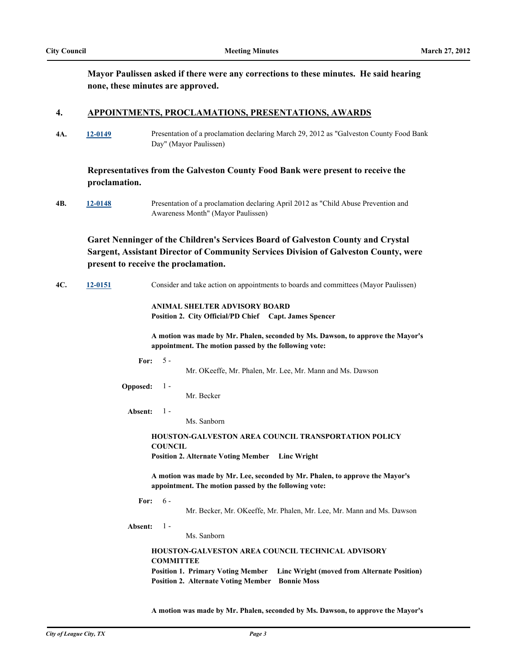**Mayor Paulissen asked if there were any corrections to these minutes. He said hearing none, these minutes are approved.**

### **4. APPOINTMENTS, PROCLAMATIONS, PRESENTATIONS, AWARDS**

**4A. [12-0149](http://leaguecity.legistar.com/gateway.aspx?m=l&id=2997)** Presentation of a proclamation declaring March 29, 2012 as "Galveston County Food Bank Day" (Mayor Paulissen)

**Representatives from the Galveston County Food Bank were present to receive the proclamation.**

**4B. [12-0148](http://leaguecity.legistar.com/gateway.aspx?m=l&id=2996)** Presentation of a proclamation declaring April 2012 as "Child Abuse Prevention and Awareness Month" (Mayor Paulissen)

**Garet Nenninger of the Children's Services Board of Galveston County and Crystal Sargent, Assistant Director of Community Services Division of Galveston County, were present to receive the proclamation.**

**4C. [12-0151](http://leaguecity.legistar.com/gateway.aspx?m=l&id=2999)** Consider and take action on appointments to boards and committees (Mayor Paulissen)

**ANIMAL SHELTER ADVISORY BOARD Position 2. City Official/PD Chief Capt. James Spencer**

**A motion was made by Mr. Phalen, seconded by Ms. Dawson, to approve the Mayor's appointment. The motion passed by the following vote:**

**For:** 5 -

Mr. OKeeffe, Mr. Phalen, Mr. Lee, Mr. Mann and Ms. Dawson

**Opposed:** 1 -

Mr. Becker

**Absent:** 1 -

Ms. Sanborn

**HOUSTON-GALVESTON AREA COUNCIL TRANSPORTATION POLICY COUNCIL Position 2. Alternate Voting Member Linc Wright**

**A motion was made by Mr. Lee, seconded by Mr. Phalen, to approve the Mayor's appointment. The motion passed by the following vote:**

**For:**  $6 -$ 

Mr. Becker, Mr. OKeeffe, Mr. Phalen, Mr. Lee, Mr. Mann and Ms. Dawson

**Absent:** 1 -

Ms. Sanborn

**HOUSTON-GALVESTON AREA COUNCIL TECHNICAL ADVISORY COMMITTEE Position 1. Primary Voting Member Linc Wright (moved from Alternate Position)**

**Position 2. Alternate Voting Member Bonnie Moss**

**A motion was made by Mr. Phalen, seconded by Ms. Dawson, to approve the Mayor's**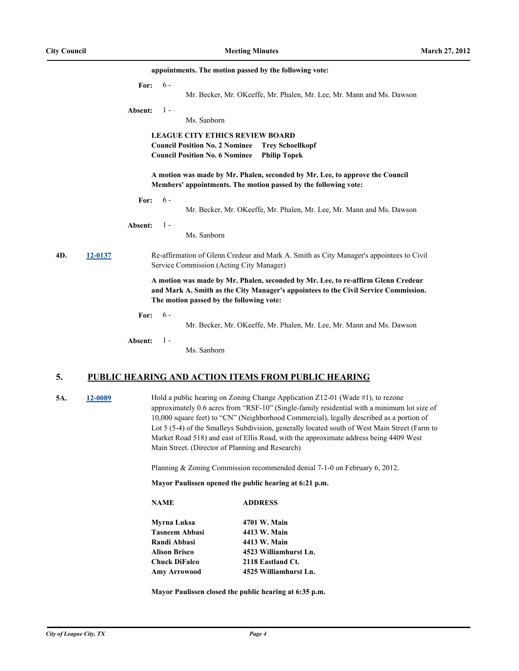**appointments. The motion passed by the following vote:**

|     |         | $6 -$<br>For:    | Mr. Becker, Mr. OKeeffe, Mr. Phalen, Mr. Lee, Mr. Mann and Ms. Dawson                                                                                                                                               |
|-----|---------|------------------|---------------------------------------------------------------------------------------------------------------------------------------------------------------------------------------------------------------------|
|     |         | Absent:<br>$1 -$ | Ms. Sanborn                                                                                                                                                                                                         |
|     |         |                  | <b>LEAGUE CITY ETHICS REVIEW BOARD</b><br><b>Council Position No. 2 Nominee</b><br><b>Trey Schoellkopf</b><br><b>Council Position No. 6 Nominee</b><br><b>Philip Topek</b>                                          |
|     |         |                  | A motion was made by Mr. Phalen, seconded by Mr. Lee, to approve the Council<br>Members' appointments. The motion passed by the following vote:                                                                     |
|     |         | $6 -$<br>For:    | Mr. Becker, Mr. OKeeffe, Mr. Phalen, Mr. Lee, Mr. Mann and Ms. Dawson                                                                                                                                               |
|     |         | $1 -$<br>Absent: | Ms. Sanborn                                                                                                                                                                                                         |
| 4D. | 12-0137 |                  | Re-affirmation of Glenn Credeur and Mark A. Smith as City Manager's appointees to Civil<br>Service Commission (Acting City Manager)                                                                                 |
|     |         |                  | A motion was made by Mr. Phalen, seconded by Mr. Lee, to re-affirm Glenn Credeur<br>and Mark A. Smith as the City Manager's appointees to the Civil Service Commission.<br>The motion passed by the following vote: |
|     |         | $6 -$<br>For:    | Mr. Becker, Mr. OKeeffe, Mr. Phalen, Mr. Lee, Mr. Mann and Ms. Dawson                                                                                                                                               |
|     |         | Absent:<br>$1 -$ | Ms. Sanborn                                                                                                                                                                                                         |
|     |         |                  |                                                                                                                                                                                                                     |

## **5. PUBLIC HEARING AND ACTION ITEMS FROM PUBLIC HEARING**

**5A. [12-0089](http://leaguecity.legistar.com/gateway.aspx?m=l&id=2937)** Hold a public hearing on Zoning Change Application Z12-01 (Wade #1), to rezone approximately 0.6 acres from "RSF-10" (Single-family residential with a minimum lot size of 10,000 square feet) to "CN" (Neighborhood Commercial), legally described as a portion of Lot 5 (5-4) of the Smalleys Subdivision, generally located south of West Main Street (Farm to Market Road 518) and east of Ellis Road, with the approximate address being 4409 West Main Street. (Director of Planning and Research)

Planning & Zoning Commission recommended denial 7-1-0 on February 6, 2012.

**Mayor Paulissen opened the public hearing at 6:21 p.m.**

#### **NAME ADDRESS**

| Myrna Luksa    | 4701 W. Main          |
|----------------|-----------------------|
| Tasneem Abbasi | 4413 W. Main          |
| Randi Abbasi   | 4413 W. Main          |
| Alison Brisco  | 4523 Williamhurst Ln. |
| Chuck DiFalco  | 2118 Eastland Ct.     |
| Amy Arrowood   | 4525 Williamhurst Ln. |

**Mayor Paulissen closed the public hearing at 6:35 p.m.**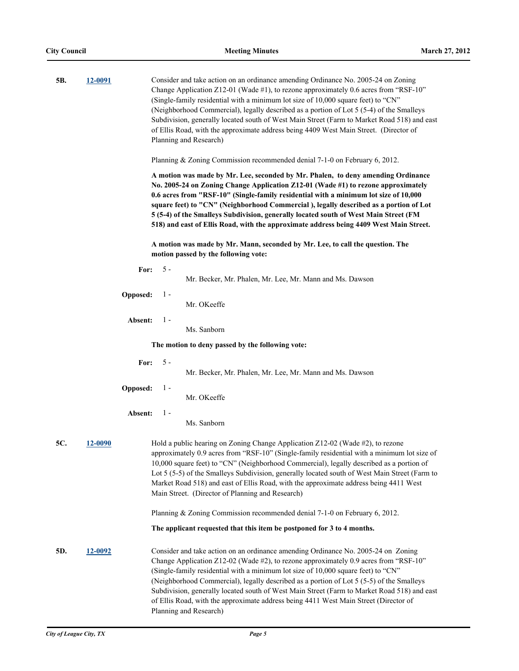| 5B. | 12-0091 | Consider and take action on an ordinance amending Ordinance No. 2005-24 on Zoning<br>Change Application Z12-01 (Wade #1), to rezone approximately 0.6 acres from "RSF-10"<br>(Single-family residential with a minimum lot size of 10,000 square feet) to "CN"<br>(Neighborhood Commercial), legally described as a portion of Lot 5 (5-4) of the Smalleys<br>Subdivision, generally located south of West Main Street (Farm to Market Road 518) and east<br>of Ellis Road, with the approximate address being 4409 West Main Street. (Director of<br>Planning and Research)<br>Planning & Zoning Commission recommended denial 7-1-0 on February 6, 2012.<br>A motion was made by Mr. Lee, seconded by Mr. Phalen, to deny amending Ordinance<br>No. 2005-24 on Zoning Change Application Z12-01 (Wade #1) to rezone approximately<br>0.6 acres from "RSF-10" (Single-family residential with a minimum lot size of 10,000<br>square feet) to "CN" (Neighborhood Commercial), legally described as a portion of Lot<br>5 (5-4) of the Smalleys Subdivision, generally located south of West Main Street (FM<br>518) and east of Ellis Road, with the approximate address being 4409 West Main Street. |
|-----|---------|--------------------------------------------------------------------------------------------------------------------------------------------------------------------------------------------------------------------------------------------------------------------------------------------------------------------------------------------------------------------------------------------------------------------------------------------------------------------------------------------------------------------------------------------------------------------------------------------------------------------------------------------------------------------------------------------------------------------------------------------------------------------------------------------------------------------------------------------------------------------------------------------------------------------------------------------------------------------------------------------------------------------------------------------------------------------------------------------------------------------------------------------------------------------------------------------------------|
|     |         | A motion was made by Mr. Mann, seconded by Mr. Lee, to call the question. The<br>motion passed by the following vote:                                                                                                                                                                                                                                                                                                                                                                                                                                                                                                                                                                                                                                                                                                                                                                                                                                                                                                                                                                                                                                                                                  |
|     |         | $5 -$<br>For:<br>Mr. Becker, Mr. Phalen, Mr. Lee, Mr. Mann and Ms. Dawson                                                                                                                                                                                                                                                                                                                                                                                                                                                                                                                                                                                                                                                                                                                                                                                                                                                                                                                                                                                                                                                                                                                              |
|     |         | Opposed:<br>$\mathbf{1}$ -<br>Mr. OKeeffe                                                                                                                                                                                                                                                                                                                                                                                                                                                                                                                                                                                                                                                                                                                                                                                                                                                                                                                                                                                                                                                                                                                                                              |
|     |         | Absent:<br>$1 -$<br>Ms. Sanborn                                                                                                                                                                                                                                                                                                                                                                                                                                                                                                                                                                                                                                                                                                                                                                                                                                                                                                                                                                                                                                                                                                                                                                        |
|     |         | The motion to deny passed by the following vote:                                                                                                                                                                                                                                                                                                                                                                                                                                                                                                                                                                                                                                                                                                                                                                                                                                                                                                                                                                                                                                                                                                                                                       |
|     |         | $5 -$<br>For:<br>Mr. Becker, Mr. Phalen, Mr. Lee, Mr. Mann and Ms. Dawson                                                                                                                                                                                                                                                                                                                                                                                                                                                                                                                                                                                                                                                                                                                                                                                                                                                                                                                                                                                                                                                                                                                              |
|     |         | Opposed:<br>$1 -$<br>Mr. OKeeffe                                                                                                                                                                                                                                                                                                                                                                                                                                                                                                                                                                                                                                                                                                                                                                                                                                                                                                                                                                                                                                                                                                                                                                       |
|     |         | $1 -$<br>Absent:<br>Ms. Sanborn                                                                                                                                                                                                                                                                                                                                                                                                                                                                                                                                                                                                                                                                                                                                                                                                                                                                                                                                                                                                                                                                                                                                                                        |
| 5C. | 12-0090 | Hold a public hearing on Zoning Change Application Z12-02 (Wade #2), to rezone<br>approximately 0.9 acres from "RSF-10" (Single-family residential with a minimum lot size of<br>10,000 square feet) to "CN" (Neighborhood Commercial), legally described as a portion of<br>Lot 5 (5-5) of the Smalleys Subdivision, generally located south of West Main Street (Farm to<br>Market Road 518) and east of Ellis Road, with the approximate address being 4411 West<br>Main Street. (Director of Planning and Research)                                                                                                                                                                                                                                                                                                                                                                                                                                                                                                                                                                                                                                                                                |
|     |         | Planning & Zoning Commission recommended denial 7-1-0 on February 6, 2012.                                                                                                                                                                                                                                                                                                                                                                                                                                                                                                                                                                                                                                                                                                                                                                                                                                                                                                                                                                                                                                                                                                                             |
|     |         | The applicant requested that this item be postponed for 3 to 4 months.                                                                                                                                                                                                                                                                                                                                                                                                                                                                                                                                                                                                                                                                                                                                                                                                                                                                                                                                                                                                                                                                                                                                 |
| 5D. | 12-0092 | Consider and take action on an ordinance amending Ordinance No. 2005-24 on Zoning<br>Change Application Z12-02 (Wade #2), to rezone approximately 0.9 acres from "RSF-10"<br>(Single-family residential with a minimum lot size of 10,000 square feet) to "CN"<br>(Neighborhood Commercial), legally described as a portion of Lot 5 (5-5) of the Smalleys<br>Subdivision, generally located south of West Main Street (Farm to Market Road 518) and east<br>of Ellis Road, with the approximate address being 4411 West Main Street (Director of<br>Planning and Research)                                                                                                                                                                                                                                                                                                                                                                                                                                                                                                                                                                                                                            |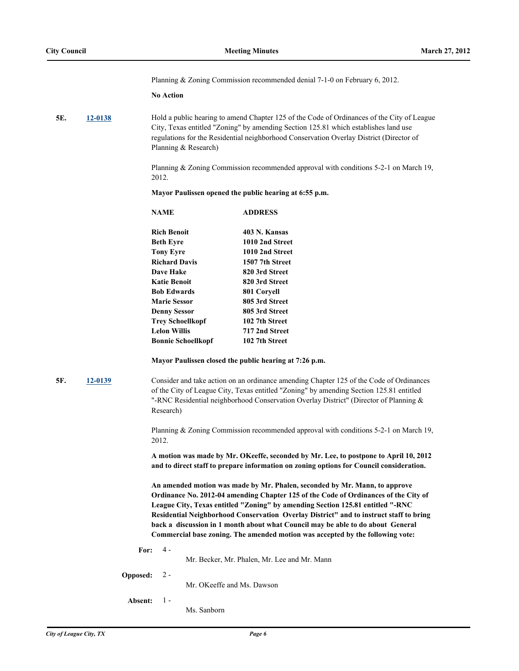Planning & Zoning Commission recommended denial 7-1-0 on February 6, 2012.

**No Action**

**5E. [12-0138](http://leaguecity.legistar.com/gateway.aspx?m=l&id=2986)** Hold a public hearing to amend Chapter 125 of the Code of Ordinances of the City of League City, Texas entitled "Zoning" by amending Section 125.81 which establishes land use regulations for the Residential neighborhood Conservation Overlay District (Director of Planning & Research)

> Planning & Zoning Commission recommended approval with conditions 5-2-1 on March 19, 2012.

**Mayor Paulissen opened the public hearing at 6:55 p.m.**

#### **NAME ADDRESS**

| 403 N. Kansas   |
|-----------------|
| 1010 2nd Street |
| 1010 2nd Street |
| 1507 7th Street |
| 820 3rd Street  |
| 820 3rd Street  |
| 801 Corvell     |
| 805 3rd Street  |
| 805 3rd Street  |
| 102 7th Street  |
| 717 2nd Street  |
| 102 7th Street  |
|                 |

**Mayor Paulissen closed the public hearing at 7:26 p.m.**

**5F. [12-0139](http://leaguecity.legistar.com/gateway.aspx?m=l&id=2987)** Consider and take action on an ordinance amending Chapter 125 of the Code of Ordinances of the City of League City, Texas entitled "Zoning" by amending Section 125.81 entitled "-RNC Residential neighborhood Conservation Overlay District" (Director of Planning & Research)

> Planning & Zoning Commission recommended approval with conditions 5-2-1 on March 19, 2012.

> **A motion was made by Mr. OKeeffe, seconded by Mr. Lee, to postpone to April 10, 2012 and to direct staff to prepare information on zoning options for Council consideration.**

> **An amended motion was made by Mr. Phalen, seconded by Mr. Mann, to approve Ordinance No. 2012-04 amending Chapter 125 of the Code of Ordinances of the City of League City, Texas entitled "Zoning" by amending Section 125.81 entitled "-RNC Residential Neighborhood Conservation Overlay District" and to instruct staff to bring back a discussion in 1 month about what Council may be able to do about General Commercial base zoning. The amended motion was accepted by the following vote:**

**For:** 4 -

Mr. Becker, Mr. Phalen, Mr. Lee and Mr. Mann

**Opposed:**  $2 -$ 

Mr. OKeeffe and Ms. Dawson

**Absent:** 1 -

Ms. Sanborn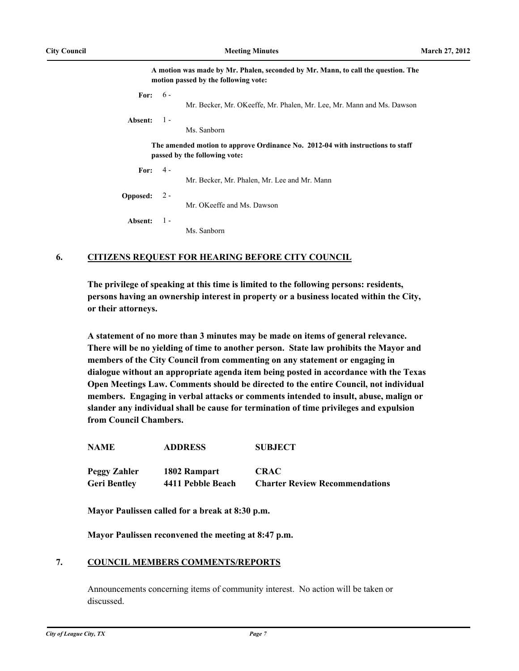**A motion was made by Mr. Phalen, seconded by Mr. Mann, to call the question. The motion passed by the following vote:**

**For:** Mr. Becker, Mr. OKeeffe, Mr. Phalen, Mr. Lee, Mr. Mann and Ms. Dawson 6 - **Absent:** Ms. Sanborn  $1 -$ **The amended motion to approve Ordinance No. 2012-04 with instructions to staff passed by the following vote: For:** Mr. Becker, Mr. Phalen, Mr. Lee and Mr. Mann  $4 -$ **Opposed:** Mr. OKeeffe and Ms. Dawson 2 - **Absent:** Ms. Sanborn 1 -

## **6. CITIZENS REQUEST FOR HEARING BEFORE CITY COUNCIL**

**The privilege of speaking at this time is limited to the following persons: residents, persons having an ownership interest in property or a business located within the City, or their attorneys.**

**A statement of no more than 3 minutes may be made on items of general relevance. There will be no yielding of time to another person. State law prohibits the Mayor and members of the City Council from commenting on any statement or engaging in dialogue without an appropriate agenda item being posted in accordance with the Texas Open Meetings Law. Comments should be directed to the entire Council, not individual members. Engaging in verbal attacks or comments intended to insult, abuse, malign or slander any individual shall be cause for termination of time privileges and expulsion from Council Chambers.**

**NAME ADDRESS SUBJECT**

**Peggy Zahler 1802 Rampart CRAC Geri Bentley 4411 Pebble Beach Charter Review Recommendations**

**Mayor Paulissen called for a break at 8:30 p.m.**

**Mayor Paulissen reconvened the meeting at 8:47 p.m.**

## **7. COUNCIL MEMBERS COMMENTS/REPORTS**

Announcements concerning items of community interest. No action will be taken or discussed.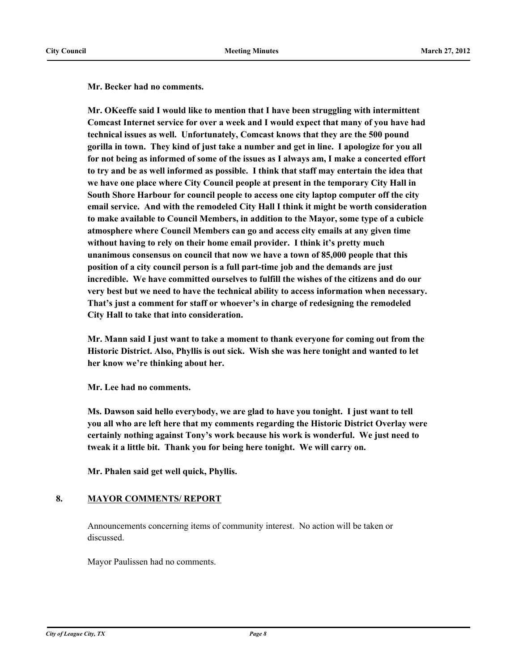**Mr. Becker had no comments.**

**Mr. OKeeffe said I would like to mention that I have been struggling with intermittent Comcast Internet service for over a week and I would expect that many of you have had technical issues as well. Unfortunately, Comcast knows that they are the 500 pound gorilla in town. They kind of just take a number and get in line. I apologize for you all for not being as informed of some of the issues as I always am, I make a concerted effort to try and be as well informed as possible. I think that staff may entertain the idea that we have one place where City Council people at present in the temporary City Hall in South Shore Harbour for council people to access one city laptop computer off the city email service. And with the remodeled City Hall I think it might be worth consideration to make available to Council Members, in addition to the Mayor, some type of a cubicle atmosphere where Council Members can go and access city emails at any given time without having to rely on their home email provider. I think it's pretty much unanimous consensus on council that now we have a town of 85,000 people that this position of a city council person is a full part-time job and the demands are just incredible. We have committed ourselves to fulfill the wishes of the citizens and do our very best but we need to have the technical ability to access information when necessary. That's just a comment for staff or whoever's in charge of redesigning the remodeled City Hall to take that into consideration.** 

**Mr. Mann said I just want to take a moment to thank everyone for coming out from the Historic District. Also, Phyllis is out sick. Wish she was here tonight and wanted to let her know we're thinking about her.** 

**Mr. Lee had no comments.**

**Ms. Dawson said hello everybody, we are glad to have you tonight. I just want to tell you all who are left here that my comments regarding the Historic District Overlay were certainly nothing against Tony's work because his work is wonderful. We just need to tweak it a little bit. Thank you for being here tonight. We will carry on.** 

**Mr. Phalen said get well quick, Phyllis.**

## **8. MAYOR COMMENTS/ REPORT**

Announcements concerning items of community interest. No action will be taken or discussed.

Mayor Paulissen had no comments.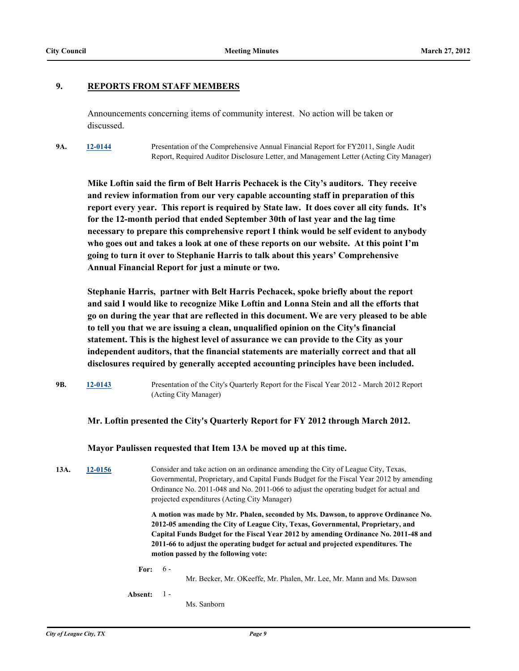## **9. REPORTS FROM STAFF MEMBERS**

Announcements concerning items of community interest. No action will be taken or discussed.

**9A. [12-0144](http://leaguecity.legistar.com/gateway.aspx?m=l&id=2992)** Presentation of the Comprehensive Annual Financial Report for FY2011, Single Audit Report, Required Auditor Disclosure Letter, and Management Letter (Acting City Manager)

**Mike Loftin said the firm of Belt Harris Pechacek is the City's auditors. They receive and review information from our very capable accounting staff in preparation of this report every year. This report is required by State law. It does cover all city funds. It's for the 12-month period that ended September 30th of last year and the lag time necessary to prepare this comprehensive report I think would be self evident to anybody who goes out and takes a look at one of these reports on our website. At this point I'm going to turn it over to Stephanie Harris to talk about this years' Comprehensive Annual Financial Report for just a minute or two.** 

**Stephanie Harris, partner with Belt Harris Pechacek, spoke briefly about the report and said I would like to recognize Mike Loftin and Lonna Stein and all the efforts that go on during the year that are reflected in this document. We are very pleased to be able to tell you that we are issuing a clean, unqualified opinion on the City's financial statement. This is the highest level of assurance we can provide to the City as your independent auditors, that the financial statements are materially correct and that all disclosures required by generally accepted accounting principles have been included.**

**9B. [12-0143](http://leaguecity.legistar.com/gateway.aspx?m=l&id=2991)** Presentation of the City's Quarterly Report for the Fiscal Year 2012 - March 2012 Report (Acting City Manager)

## **Mr. Loftin presented the City's Quarterly Report for FY 2012 through March 2012.**

#### **Mayor Paulissen requested that Item 13A be moved up at this time.**

13A. **[12-0156](http://leaguecity.legistar.com/gateway.aspx?m=l&id=3004)** Consider and take action on an ordinance amending the City of League City, Texas, Governmental, Proprietary, and Capital Funds Budget for the Fiscal Year 2012 by amending Ordinance No. 2011-048 and No. 2011-066 to adjust the operating budget for actual and projected expenditures (Acting City Manager)

> **A motion was made by Mr. Phalen, seconded by Ms. Dawson, to approve Ordinance No. 2012-05 amending the City of League City, Texas, Governmental, Proprietary, and Capital Funds Budget for the Fiscal Year 2012 by amending Ordinance No. 2011-48 and 2011-66 to adjust the operating budget for actual and projected expenditures. The motion passed by the following vote:**

**For:** 6 -

Mr. Becker, Mr. OKeeffe, Mr. Phalen, Mr. Lee, Mr. Mann and Ms. Dawson

**Absent:** 1 -

Ms. Sanborn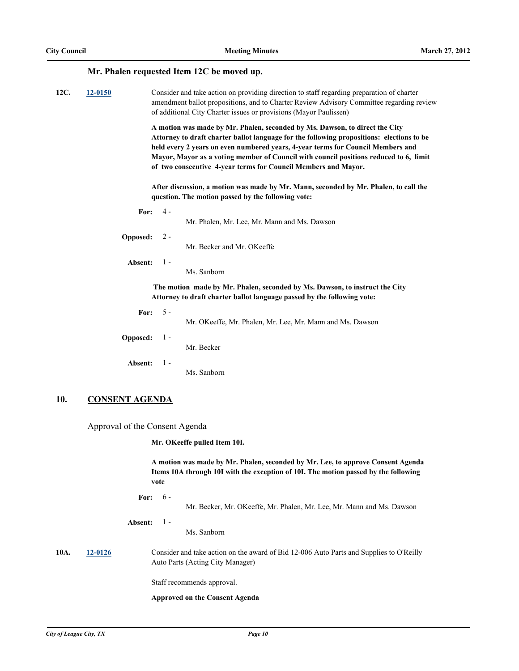## **Mr. Phalen requested Item 12C be moved up.**

| 12C. | 12-0150                        |                   | Consider and take action on providing direction to staff regarding preparation of charter<br>amendment ballot propositions, and to Charter Review Advisory Committee regarding review<br>of additional City Charter issues or provisions (Mayor Paulissen)                                                                                                                                                             |
|------|--------------------------------|-------------------|------------------------------------------------------------------------------------------------------------------------------------------------------------------------------------------------------------------------------------------------------------------------------------------------------------------------------------------------------------------------------------------------------------------------|
|      |                                |                   | A motion was made by Mr. Phalen, seconded by Ms. Dawson, to direct the City<br>Attorney to draft charter ballot language for the following propositions: elections to be<br>held every 2 years on even numbered years, 4-year terms for Council Members and<br>Mayor, Mayor as a voting member of Council with council positions reduced to 6, limit<br>of two consecutive 4-year terms for Council Members and Mayor. |
|      |                                |                   | After discussion, a motion was made by Mr. Mann, seconded by Mr. Phalen, to call the<br>question. The motion passed by the following vote:                                                                                                                                                                                                                                                                             |
|      |                                | 4 -<br>For:       | Mr. Phalen, Mr. Lee, Mr. Mann and Ms. Dawson                                                                                                                                                                                                                                                                                                                                                                           |
|      |                                | $2 -$<br>Opposed: | Mr. Becker and Mr. OKeeffe                                                                                                                                                                                                                                                                                                                                                                                             |
|      |                                | Absent:<br>$1 -$  | Ms. Sanborn                                                                                                                                                                                                                                                                                                                                                                                                            |
|      |                                |                   | The motion made by Mr. Phalen, seconded by Ms. Dawson, to instruct the City<br>Attorney to draft charter ballot language passed by the following vote:                                                                                                                                                                                                                                                                 |
|      |                                | $5 -$<br>For:     | Mr. OKeeffe, Mr. Phalen, Mr. Lee, Mr. Mann and Ms. Dawson                                                                                                                                                                                                                                                                                                                                                              |
|      |                                | Opposed:<br>$1 -$ | Mr. Becker                                                                                                                                                                                                                                                                                                                                                                                                             |
|      |                                | $1 -$<br>Absent:  | Ms. Sanborn                                                                                                                                                                                                                                                                                                                                                                                                            |
| 10.  | <b>CONSENT AGENDA</b>          |                   |                                                                                                                                                                                                                                                                                                                                                                                                                        |
|      | Approval of the Consent Agenda |                   |                                                                                                                                                                                                                                                                                                                                                                                                                        |
|      |                                |                   | Mr. OKeeffe pulled Item 10I.                                                                                                                                                                                                                                                                                                                                                                                           |
|      |                                | vote              | A motion was made by Mr. Phalen, seconded by Mr. Lee, to approve Consent Agenda<br>Items 10A through 10I with the exception of 10I. The motion passed by the following                                                                                                                                                                                                                                                 |

**For:** 6 -

Mr. Becker, Mr. OKeeffe, Mr. Phalen, Mr. Lee, Mr. Mann and Ms. Dawson

**Absent:** 1 -

Ms. Sanborn

| 10A. | 12-0126 | Consider and take action on the award of Bid 12-006 Auto Parts and Supplies to O'Reilly |
|------|---------|-----------------------------------------------------------------------------------------|
|      |         | Auto Parts (Acting City Manager)                                                        |

Staff recommends approval.

**Approved on the Consent Agenda**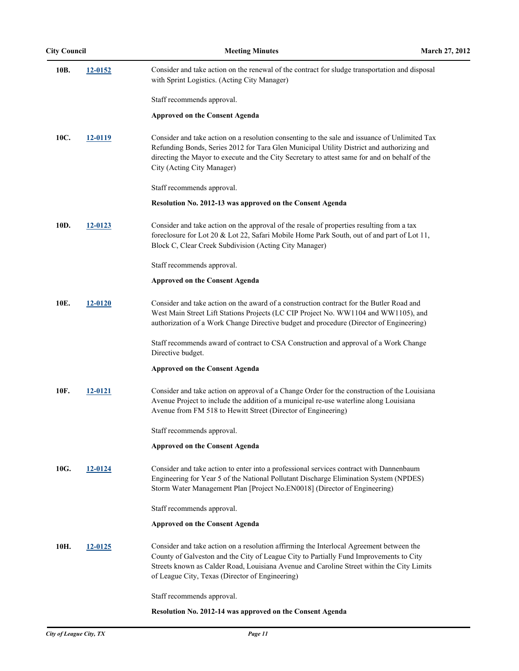ц,

| 10B. | 12-0152        | Consider and take action on the renewal of the contract for sludge transportation and disposal<br>with Sprint Logistics. (Acting City Manager)                                                                                                                                                                                    |
|------|----------------|-----------------------------------------------------------------------------------------------------------------------------------------------------------------------------------------------------------------------------------------------------------------------------------------------------------------------------------|
|      |                | Staff recommends approval.                                                                                                                                                                                                                                                                                                        |
|      |                | <b>Approved on the Consent Agenda</b>                                                                                                                                                                                                                                                                                             |
| 10C. | <u>12-0119</u> | Consider and take action on a resolution consenting to the sale and issuance of Unlimited Tax<br>Refunding Bonds, Series 2012 for Tara Glen Municipal Utility District and authorizing and<br>directing the Mayor to execute and the City Secretary to attest same for and on behalf of the<br>City (Acting City Manager)         |
|      |                | Staff recommends approval.                                                                                                                                                                                                                                                                                                        |
|      |                | Resolution No. 2012-13 was approved on the Consent Agenda                                                                                                                                                                                                                                                                         |
| 10D. | 12-0123        | Consider and take action on the approval of the resale of properties resulting from a tax<br>foreclosure for Lot 20 & Lot 22, Safari Mobile Home Park South, out of and part of Lot 11,<br>Block C, Clear Creek Subdivision (Acting City Manager)                                                                                 |
|      |                | Staff recommends approval.                                                                                                                                                                                                                                                                                                        |
|      |                | <b>Approved on the Consent Agenda</b>                                                                                                                                                                                                                                                                                             |
| 10E. | 12-0120        | Consider and take action on the award of a construction contract for the Butler Road and<br>West Main Street Lift Stations Projects (LC CIP Project No. WW1104 and WW1105), and<br>authorization of a Work Change Directive budget and procedure (Director of Engineering)                                                        |
|      |                | Staff recommends award of contract to CSA Construction and approval of a Work Change<br>Directive budget.                                                                                                                                                                                                                         |
|      |                | <b>Approved on the Consent Agenda</b>                                                                                                                                                                                                                                                                                             |
| 10F. | <u>12-0121</u> | Consider and take action on approval of a Change Order for the construction of the Louisiana<br>Avenue Project to include the addition of a municipal re-use waterline along Louisiana<br>Avenue from FM 518 to Hewitt Street (Director of Engineering)                                                                           |
|      |                | Staff recommends approval.                                                                                                                                                                                                                                                                                                        |
|      |                | <b>Approved on the Consent Agenda</b>                                                                                                                                                                                                                                                                                             |
| 10G. | <u>12-0124</u> | Consider and take action to enter into a professional services contract with Dannenbaum<br>Engineering for Year 5 of the National Pollutant Discharge Elimination System (NPDES)<br>Storm Water Management Plan [Project No.EN0018] (Director of Engineering)                                                                     |
|      |                | Staff recommends approval.                                                                                                                                                                                                                                                                                                        |
|      |                | <b>Approved on the Consent Agenda</b>                                                                                                                                                                                                                                                                                             |
| 10H. | 12-0125        | Consider and take action on a resolution affirming the Interlocal Agreement between the<br>County of Galveston and the City of League City to Partially Fund Improvements to City<br>Streets known as Calder Road, Louisiana Avenue and Caroline Street within the City Limits<br>of League City, Texas (Director of Engineering) |
|      |                | Staff recommends approval.                                                                                                                                                                                                                                                                                                        |
|      |                | Resolution No. 2012-14 was approved on the Consent Agenda                                                                                                                                                                                                                                                                         |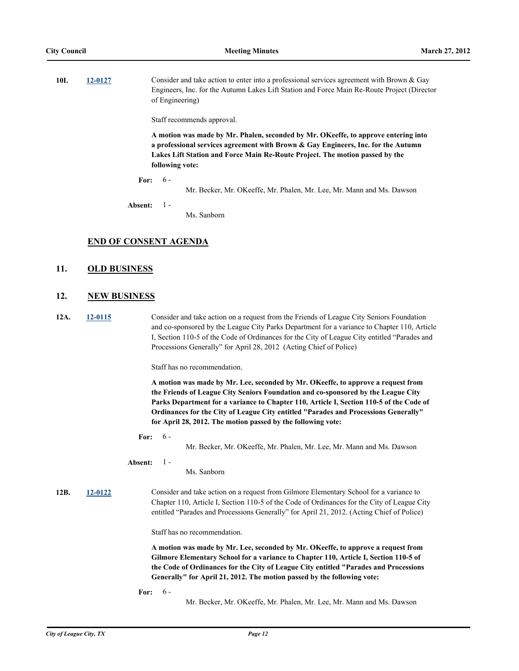| 10I. | 12-0127 | Consider and take action to enter into a professional services agreement with Brown & Gay   |
|------|---------|---------------------------------------------------------------------------------------------|
|      |         | Engineers, Inc. for the Autumn Lakes Lift Station and Force Main Re-Route Project (Director |
|      |         | of Engineering)                                                                             |

Staff recommends approval.

**A motion was made by Mr. Phalen, seconded by Mr. OKeeffe, to approve entering into a professional services agreement with Brown & Gay Engineers, Inc. for the Autumn Lakes Lift Station and Force Main Re-Route Project. The motion passed by the following vote:**

**For:** 6 -

Mr. Becker, Mr. OKeeffe, Mr. Phalen, Mr. Lee, Mr. Mann and Ms. Dawson

**Absent:** 1 -

Ms. Sanborn

### **END OF CONSENT AGENDA**

## **11. OLD BUSINESS**

### **12. NEW BUSINESS**

**12A. [12-0115](http://leaguecity.legistar.com/gateway.aspx?m=l&id=2963)** Consider and take action on a request from the Friends of League City Seniors Foundation and co-sponsored by the League City Parks Department for a variance to Chapter 110, Article I, Section 110-5 of the Code of Ordinances for the City of League City entitled "Parades and Processions Generally" for April 28, 2012 (Acting Chief of Police)

Staff has no recommendation.

**A motion was made by Mr. Lee, seconded by Mr. OKeeffe, to approve a request from the Friends of League City Seniors Foundation and co-sponsored by the League City Parks Department for a variance to Chapter 110, Article I, Section 110-5 of the Code of Ordinances for the City of League City entitled "Parades and Processions Generally" for April 28, 2012. The motion passed by the following vote:**

**For:** 6 -

Mr. Becker, Mr. OKeeffe, Mr. Phalen, Mr. Lee, Mr. Mann and Ms. Dawson

**Absent:**  $1 -$ 

Ms. Sanborn

**12B. [12-0122](http://leaguecity.legistar.com/gateway.aspx?m=l&id=2970)** Consider and take action on a request from Gilmore Elementary School for a variance to Chapter 110, Article I, Section 110-5 of the Code of Ordinances for the City of League City entitled "Parades and Processions Generally" for April 21, 2012. (Acting Chief of Police)

Staff has no recommendation.

**A motion was made by Mr. Lee, seconded by Mr. OKeeffe, to approve a request from Gilmore Elementary School for a variance to Chapter 110, Article I, Section 110-5 of the Code of Ordinances for the City of League City entitled "Parades and Processions Generally" for April 21, 2012. The motion passed by the following vote:**

**For:** 6 -

Mr. Becker, Mr. OKeeffe, Mr. Phalen, Mr. Lee, Mr. Mann and Ms. Dawson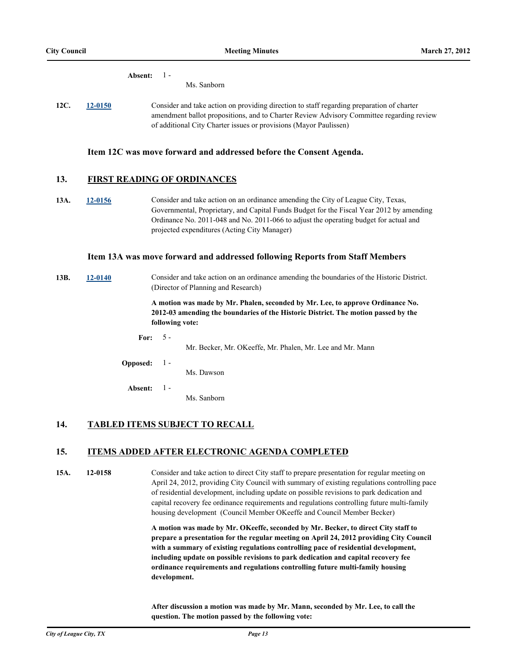#### **Absent:** 1 -

Ms. Sanborn

**12C. [12-0150](http://leaguecity.legistar.com/gateway.aspx?m=l&id=2998)** Consider and take action on providing direction to staff regarding preparation of charter amendment ballot propositions, and to Charter Review Advisory Committee regarding review of additional City Charter issues or provisions (Mayor Paulissen)

#### **Item 12C was move forward and addressed before the Consent Agenda.**

### **13. FIRST READING OF ORDINANCES**

**13A. [12-0156](http://leaguecity.legistar.com/gateway.aspx?m=l&id=3004)** Consider and take action on an ordinance amending the City of League City, Texas, Governmental, Proprietary, and Capital Funds Budget for the Fiscal Year 2012 by amending Ordinance No. 2011-048 and No. 2011-066 to adjust the operating budget for actual and projected expenditures (Acting City Manager)

#### **Item 13A was move forward and addressed following Reports from Staff Members**

**13B. [12-0140](http://leaguecity.legistar.com/gateway.aspx?m=l&id=2988)** Consider and take action on an ordinance amending the boundaries of the Historic District. (Director of Planning and Research) **A motion was made by Mr. Phalen, seconded by Mr. Lee, to approve Ordinance No. 2012-03 amending the boundaries of the Historic District. The motion passed by the following vote: For:** 5 - Mr. Becker, Mr. OKeeffe, Mr. Phalen, Mr. Lee and Mr. Mann **Opposed:** Ms. Dawson 1 - **Absent:** Ms. Sanborn 1 - **14. TABLED ITEMS SUBJECT TO RECALL**

## **15. ITEMS ADDED AFTER ELECTRONIC AGENDA COMPLETED**

**15A. 12-0158** Consider and take action to direct City staff to prepare presentation for regular meeting on April 24, 2012, providing City Council with summary of existing regulations controlling pace of residential development, including update on possible revisions to park dedication and capital recovery fee ordinance requirements and regulations controlling future multi-family housing development (Council Member OKeeffe and Council Member Becker)

> **A motion was made by Mr. OKeeffe, seconded by Mr. Becker, to direct City staff to prepare a presentation for the regular meeting on April 24, 2012 providing City Council with a summary of existing regulations controlling pace of residential development, including update on possible revisions to park dedication and capital recovery fee ordinance requirements and regulations controlling future multi-family housing development.**

**After discussion a motion was made by Mr. Mann, seconded by Mr. Lee, to call the question. The motion passed by the following vote:**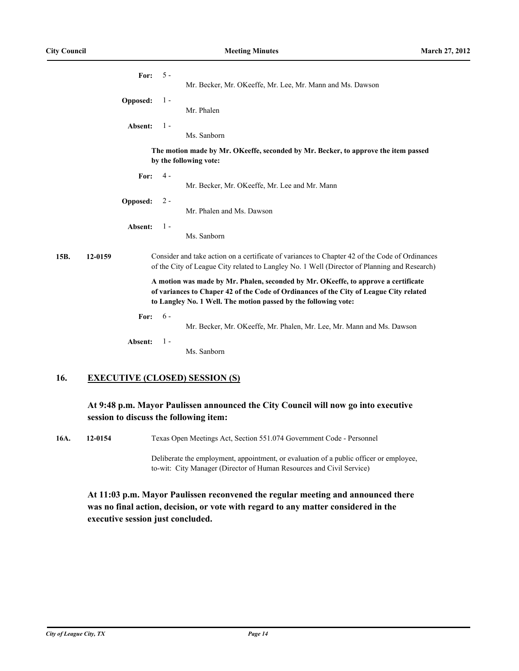|                                                                                                              | For:                                                                                                                                                                                                                                                                                                                                                                                                                                              | $5 -$ | Mr. Becker, Mr. OKeeffe, Mr. Lee, Mr. Mann and Ms. Dawson             |
|--------------------------------------------------------------------------------------------------------------|---------------------------------------------------------------------------------------------------------------------------------------------------------------------------------------------------------------------------------------------------------------------------------------------------------------------------------------------------------------------------------------------------------------------------------------------------|-------|-----------------------------------------------------------------------|
|                                                                                                              |                                                                                                                                                                                                                                                                                                                                                                                                                                                   |       |                                                                       |
|                                                                                                              | Opposed:                                                                                                                                                                                                                                                                                                                                                                                                                                          | $1 -$ | Mr. Phalen                                                            |
|                                                                                                              | Absent:                                                                                                                                                                                                                                                                                                                                                                                                                                           | $1 -$ |                                                                       |
|                                                                                                              |                                                                                                                                                                                                                                                                                                                                                                                                                                                   |       | Ms. Sanborn                                                           |
| The motion made by Mr. OKeeffe, seconded by Mr. Becker, to approve the item passed<br>by the following vote: |                                                                                                                                                                                                                                                                                                                                                                                                                                                   |       |                                                                       |
|                                                                                                              | For:                                                                                                                                                                                                                                                                                                                                                                                                                                              | $4 -$ | Mr. Becker, Mr. OKeeffe, Mr. Lee and Mr. Mann                         |
|                                                                                                              | <b>Opposed:</b>                                                                                                                                                                                                                                                                                                                                                                                                                                   | $2 -$ | Mr. Phalen and Ms. Dawson                                             |
|                                                                                                              | Absent:                                                                                                                                                                                                                                                                                                                                                                                                                                           | $1 -$ | Ms. Sanborn                                                           |
| 15B.<br>12-0159                                                                                              | Consider and take action on a certificate of variances to Chapter 42 of the Code of Ordinances<br>of the City of League City related to Langley No. 1 Well (Director of Planning and Research)<br>A motion was made by Mr. Phalen, seconded by Mr. OKeeffe, to approve a certificate<br>of variances to Chaper 42 of the Code of Ordinances of the City of League City related<br>to Langley No. 1 Well. The motion passed by the following vote: |       |                                                                       |
|                                                                                                              |                                                                                                                                                                                                                                                                                                                                                                                                                                                   |       |                                                                       |
|                                                                                                              | For:                                                                                                                                                                                                                                                                                                                                                                                                                                              | $6 -$ | Mr. Becker, Mr. OKeeffe, Mr. Phalen, Mr. Lee, Mr. Mann and Ms. Dawson |
|                                                                                                              | Absent:                                                                                                                                                                                                                                                                                                                                                                                                                                           | $1 -$ | Ms. Sanborn                                                           |

## **16. EXECUTIVE (CLOSED) SESSION (S)**

## **At 9:48 p.m. Mayor Paulissen announced the City Council will now go into executive session to discuss the following item:**

**16A. 12-0154** Texas Open Meetings Act, Section 551.074 Government Code - Personnel

Deliberate the employment, appointment, or evaluation of a public officer or employee, to-wit: City Manager (Director of Human Resources and Civil Service)

**At 11:03 p.m. Mayor Paulissen reconvened the regular meeting and announced there was no final action, decision, or vote with regard to any matter considered in the executive session just concluded.**